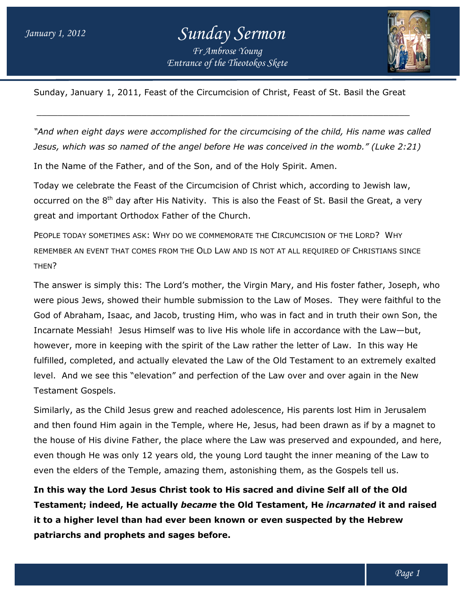## *Entrance of the Theotokos Skete Sunday Sermon Fr Ambrose Young*



Sunday, January 1, 2011, Feast of the Circumcision of Christ, Feast of St. Basil the Great January 1, of the \_\_\_\_\_\_\_\_\_\_\_\_\_\_\_\_\_\_\_\_\_\_\_\_\_\_\_\_\_\_\_\_\_\_\_\_\_\_\_\_\_\_\_\_\_\_\_\_\_\_\_\_\_\_\_\_\_\_\_\_\_\_\_\_\_\_\_\_\_\_\_

\_\_\_\_\_\_\_\_\_\_\_\_\_\_\_\_\_\_\_\_\_\_\_\_\_\_\_\_\_\_\_\_\_\_\_\_\_\_\_\_\_\_\_\_\_\_\_\_\_\_\_\_\_\_\_\_\_\_\_\_\_\_\_\_\_\_\_\_\_\_\_

"And when eight days were accomplished for the circumcising of the child, His name was called *Jesus, which was so named of the angel before He was conceived in the womb." (Luke 2:21) which was was the womb." (Luke 2:21)*

In the Name of the Father, and of the Son, and of the Holy Spirit. Amen.

Today we celebrate the Feast of the Circumcision of Christ which, according to Jewish law, In the Name of the Father, and of the Son, and of the Holy Spirit. Amen.<br>Today we celebrate the Feast of the Circumcision of Christ which, according to Jewish law,<br>occurred on the 8<sup>th</sup> day after His Nativity. This is also great and important Orthodox Father of the Church.

PEOPLE TODAY SOMETIMES ASK: WHY DO WE COMMEMORATE THE CIRCUMCISION OF THE LORD? WHY REMEMBER AN EVENT THAT COMES FROM THE OLD LAW AND IS NOT AT ALL REQUIRED OF CHRISTIANS SINCE THEN?

The answer is simply this: The Lord's mother, the Virgin Mary, and His foster father, Joseph, who were pious Jews, showed their humble submission to the Law of Moses. They were faithful to the God of Abraham, Isaac, and Jacob, trusting Him, who was in fact and in truth their own Son, the Incarnate Messiah! Jesus Himself was to live His whole life in accordance with the Law-but, however, more in keeping with the spirit of the Law rather the letter of Law. In this way He fulfilled, completed, and actually elevated the Law of the Old Testament to an extremely exalted God of Abraham, Isaac, and Jacob, trusting Him, who was in fact and in truth their own Son,<br>Incarnate Messiah! Jesus Himself was to live His whole life in accordance with the Law—but,<br>however, more in keeping with the spir Testament Gospels. They were faithful to<br>:ruth their own Son,<br>! with the Law—but,

Similarly, as the Child Jesus grew and reached adolescence, His parents lost Him in Jerusalem and then found Him again in the Temple, where He, Jesus, had been drawn as if by a magnet to the house of His divine Father, the place where the Law was preserved and expounded, and here, even though He was only 12 years old, the young Lord taught the inner meaning of the Law to even the elders of the Temple, amazing them, astonishing them, as the Gospels tell us. arly, as the Child Jesus grew and reached adolescence, His parents lost Him in Jerusaler<br>hen found Him again in the Temple, where He, Jesus, had been drawn as if by a magne<br>ouse of His divine Father, the place where the La he Law over and over again in the l<br>scence, His parents lost Him in Jeru<br>lesus, had been drawn as if by a ma<br>aw was preserved and expounded,<br>rd taught the inner meaning of the<br>shing them, as the Gospels tell us.

**In this way the Lord Jesus Christ took to His sacred and divine Self all of the Old Christ and divine all of the Old Testament; indeed, He actually**  *became* **the Old Testament, He** *incarnated*  **it and raised**  it to a higher level than had ever been known or even suspected by the Hebrew<br>patriarchs and prophets and sages before. **patriarchs and prophets and sages before.**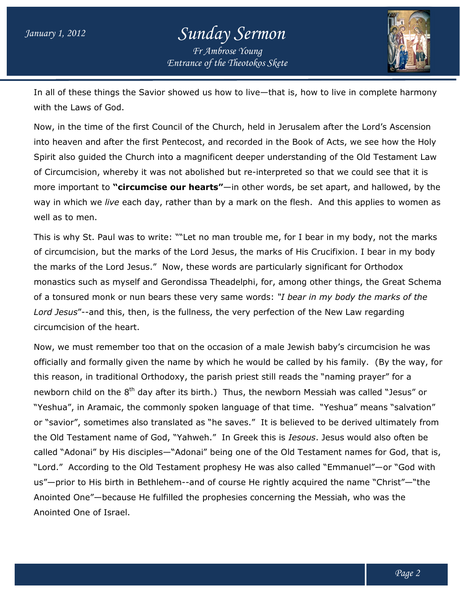## *Entrance of the Theotokos Skete Sunday Sermon Fr Ambrose Young*



In all of these things the Savior showed us how to live—that is, how to live in complete harmony with the Laws of God. In all of these things the Savior showed us how to live—that is, how to live in complete harmon<sub>!</sub><br>with the Laws of God.<br>Now, in the time of the first Council of the Church, held in Jerusalem after the Lord's Ascension

into heaven and after the first Pentecost, and recorded in the Book of Acts, we see how the Holy Spirit also guided the Church into a magnificent deeper understanding of the Old Testament Law of Circumcision, whereby it was not abolished but re-interpreted so that we could see that it is more important to **"circumcise our hearts"**—in other words, be set apart, and hallowed, by the way in which we *live* each day, rather than by a mark on the flesh. And this applies to women as well as to men. Now, in the time of the first Council of the Church, held in Jerusalem after the Lord's Ascension<br>into heaven and after the first Pentecost, and recorded in the Book of Acts, we see how the Holy<br>Spirit also guided the Chur ut re-interpreted so that we could see that it is<br>in other words, be set apart, and hallowed, by the<br>I mark on the flesh. And this applies to women as

This is why St. Paul was to write: ""Let no man trouble me, for I bear in my body, not the marks of circumcision, but the marks of the Lord Jesus, the marks of His Crucifixion. I bear in my body the marks of the Lord Jesus." Now, these words are particularly significant for Orthodox monastics such as myself and Gerondissa Theadelphi, for, among other things, the Great Schema This is why St. Paul was to write: ""Let no man trouble me, for I bear in my body, not the marks<br>of circumcision, but the marks of the Lord Jesus, the marks of His Crucifixion. I bear in my body<br>the marks of the Lord Jesus Lord Jesus"--and this, then, is the fullness, the very perfection of the New Law regarding circumcision of the heart.

Now, we must remember too that on the occasion of a male Jewish baby's circumcision he was Lord Jesus"--and this, then, is the fullness, the very perfection of the New Law regarding<br>circumcision of the heart.<br>Now, we must remember too that on the occasion of a male Jewish baby's circumcision he was<br>officially an this reason, in traditional Orthodoxy, the parish priest still reads the "naming prayer" for a this reason, in traditional Orthodoxy, the parish priest still reads the "naming prayer" for a<br>newborn child on the 8<sup>th</sup> day after its birth.) Thus, the newborn Messiah was called "Jesus" or "Yeshua", in Aramaic, the commonly spoken language of that time. "Yeshua" means "salvation" or "savior", sometimes also translated as "he saves." It is believed to be derived ultimately from the Old Testament name of God, "Yahweh." In Greek this is *Iesous*. Jesus would also often be called "Adonai" by His disciples—"Adonai" being one of the Old Testament names for God, that is, "Lord." According to the Old Testament prophesy He was also called "Emmanuel" "Lord." According to the Old Testament prophesy He was also called "Emmanuel"—or "God with<br>us"—prior to His birth in Bethlehem--and of course He rightly acquired the name "Christ"—"the Anointed One"—because He fulfilled the prophesies concerning the Messiah, who was the Anointed One of Israel. s "he saves." It is believed to be derived ultimately from<br>eh." In Greek this is *Iesous*. Jesus would also often be<br>i" being one of the Old Testament names for God, that is<br>prophesy He was also called "Emmanuel"—or "God w